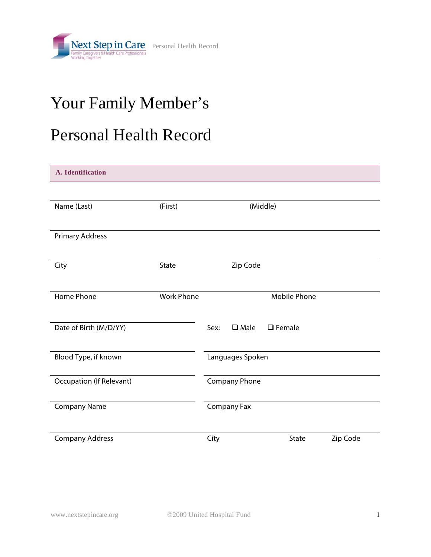

## Your Family Member's

## Personal Health Record

| A. Identification               |                   |      |                      |                     |          |
|---------------------------------|-------------------|------|----------------------|---------------------|----------|
|                                 |                   |      |                      |                     |          |
| Name (Last)                     | (First)           |      |                      | (Middle)            |          |
|                                 |                   |      |                      |                     |          |
| <b>Primary Address</b>          |                   |      |                      |                     |          |
| City                            | <b>State</b>      |      | Zip Code             |                     |          |
|                                 |                   |      |                      |                     |          |
| Home Phone                      | <b>Work Phone</b> |      |                      | <b>Mobile Phone</b> |          |
|                                 |                   |      |                      |                     |          |
| Date of Birth (M/D/YY)          |                   | Sex: | $\square$ Male       | $\Box$ Female       |          |
|                                 |                   |      |                      |                     |          |
| Blood Type, if known            |                   |      | Languages Spoken     |                     |          |
| <b>Occupation (If Relevant)</b> |                   |      | <b>Company Phone</b> |                     |          |
| <b>Company Name</b>             |                   |      | Company Fax          |                     |          |
|                                 |                   |      |                      |                     |          |
| <b>Company Address</b>          |                   | City |                      | State               | Zip Code |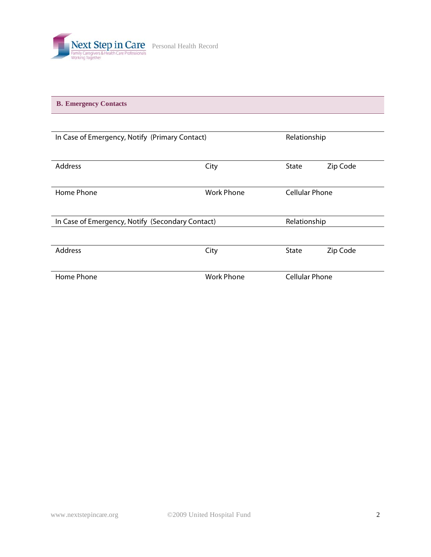

**B. Emergency Contacts** 

| In Case of Emergency, Notify (Primary Contact)   |                   |                       | Relationship |  |
|--------------------------------------------------|-------------------|-----------------------|--------------|--|
| <b>Address</b>                                   | City              | State                 | Zip Code     |  |
| Home Phone                                       | <b>Work Phone</b> | <b>Cellular Phone</b> |              |  |
| In Case of Emergency, Notify (Secondary Contact) |                   | Relationship          |              |  |
| <b>Address</b>                                   | City              | <b>State</b>          | Zip Code     |  |
| Home Phone                                       | <b>Work Phone</b> | <b>Cellular Phone</b> |              |  |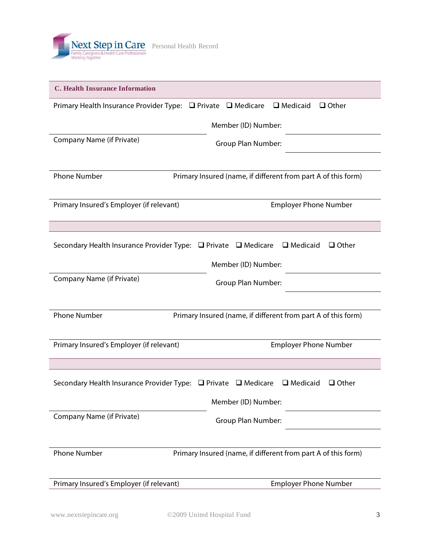

| <b>C. Health Insurance Information</b>                                                            |
|---------------------------------------------------------------------------------------------------|
| Primary Health Insurance Provider Type: □ Private □ Medicare<br>$\Box$ Medicaid<br>$\Box$ Other   |
| Member (ID) Number:                                                                               |
| <b>Company Name (if Private)</b><br><b>Group Plan Number:</b>                                     |
|                                                                                                   |
| <b>Phone Number</b><br>Primary Insured (name, if different from part A of this form)              |
| Primary Insured's Employer (if relevant)<br><b>Employer Phone Number</b>                          |
|                                                                                                   |
| Secondary Health Insurance Provider Type: □ Private □ Medicare<br>$\Box$ Medicaid<br>$\Box$ Other |
| Member (ID) Number:                                                                               |
| <b>Company Name (if Private)</b><br><b>Group Plan Number:</b>                                     |
|                                                                                                   |
| <b>Phone Number</b><br>Primary Insured (name, if different from part A of this form)              |
| <b>Employer Phone Number</b><br>Primary Insured's Employer (if relevant)                          |
|                                                                                                   |
| $\Box$ Medicaid<br>Secondary Health Insurance Provider Type: □ Private □ Medicare<br>$\Box$ Other |
| Member (ID) Number:                                                                               |
| <b>Company Name (if Private)</b><br>Group Plan Number:                                            |
|                                                                                                   |
| <b>Phone Number</b><br>Primary Insured (name, if different from part A of this form)              |
| Primary Insured's Employer (if relevant)<br><b>Employer Phone Number</b>                          |
|                                                                                                   |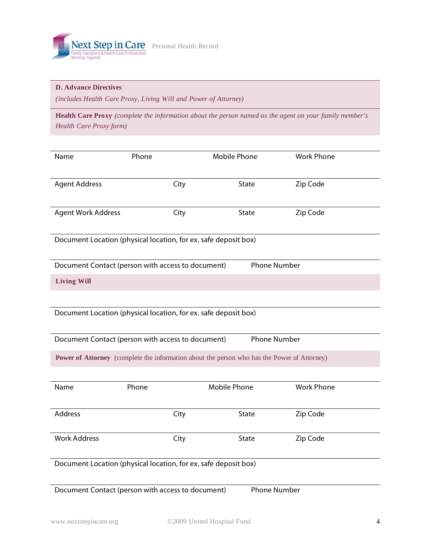

## **D. Advance Directives**

*(includes Health Care Proxy, Living Will and Power of Attorney)* 

**Health Care Proxy** *(complete the information about the person named as the agent on your family member's Health Care Proxy form)*

| Name                                                                                        | Phone                                                                    | <b>Mobile Phone</b> | <b>Work Phone</b> |  |  |  |  |  |
|---------------------------------------------------------------------------------------------|--------------------------------------------------------------------------|---------------------|-------------------|--|--|--|--|--|
| <b>Agent Address</b>                                                                        | City                                                                     | State               | Zip Code          |  |  |  |  |  |
| <b>Agent Work Address</b>                                                                   | City                                                                     | State               | Zip Code          |  |  |  |  |  |
|                                                                                             | Document Location (physical location, for ex. safe deposit box)          |                     |                   |  |  |  |  |  |
|                                                                                             | Document Contact (person with access to document)                        | <b>Phone Number</b> |                   |  |  |  |  |  |
| <b>Living Will</b>                                                                          |                                                                          |                     |                   |  |  |  |  |  |
|                                                                                             | Document Location (physical location, for ex. safe deposit box)          |                     |                   |  |  |  |  |  |
|                                                                                             | Document Contact (person with access to document)                        | <b>Phone Number</b> |                   |  |  |  |  |  |
| Power of Attorney (complete the information about the person who has the Power of Attorney) |                                                                          |                     |                   |  |  |  |  |  |
| Name                                                                                        | Phone                                                                    | <b>Mobile Phone</b> | <b>Work Phone</b> |  |  |  |  |  |
| <b>Address</b>                                                                              | City                                                                     | State               | Zip Code          |  |  |  |  |  |
| <b>Work Address</b>                                                                         | City                                                                     | State               | Zip Code          |  |  |  |  |  |
|                                                                                             | Document Location (physical location, for ex. safe deposit box)          |                     |                   |  |  |  |  |  |
|                                                                                             | Document Contact (person with access to document)<br><b>Phone Number</b> |                     |                   |  |  |  |  |  |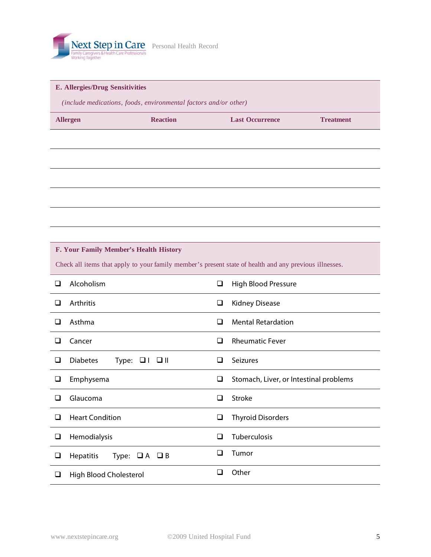

## **E. Allergies/Drug Sensitivities**

 *(include medications, foods, environmental factors and/or other)* 

| <b>Allergen</b> | <b>Reaction</b> | <b>Last Occurrence</b> | <b>Treatment</b> |
|-----------------|-----------------|------------------------|------------------|
|                 |                 |                        |                  |

|   | F. Your Family Member's Health History                                                                 |   |                                        |  |  |  |
|---|--------------------------------------------------------------------------------------------------------|---|----------------------------------------|--|--|--|
|   | Check all items that apply to your family member's present state of health and any previous illnesses. |   |                                        |  |  |  |
| □ | Alcoholism                                                                                             | ❏ | High Blood Pressure                    |  |  |  |
| П | Arthritis                                                                                              | ❏ | <b>Kidney Disease</b>                  |  |  |  |
| □ | Asthma                                                                                                 | ◻ | <b>Mental Retardation</b>              |  |  |  |
| □ | Cancer                                                                                                 | ◻ | <b>Rheumatic Fever</b>                 |  |  |  |
| □ | <b>Diabetes</b><br>Type: $\Box$   $\Box$                                                               | □ | Seizures                               |  |  |  |
| ❏ | Emphysema                                                                                              | ❏ | Stomach, Liver, or Intestinal problems |  |  |  |
| □ | Glaucoma                                                                                               | □ | <b>Stroke</b>                          |  |  |  |
| □ | <b>Heart Condition</b>                                                                                 | ❏ | <b>Thyroid Disorders</b>               |  |  |  |
| □ | Hemodialysis                                                                                           | □ | Tuberculosis                           |  |  |  |
| □ | <b>Hepatitis</b><br>Type: $\Box A$ $\Box B$                                                            | □ | Tumor                                  |  |  |  |
| □ | High Blood Cholesterol                                                                                 | ◻ | Other                                  |  |  |  |